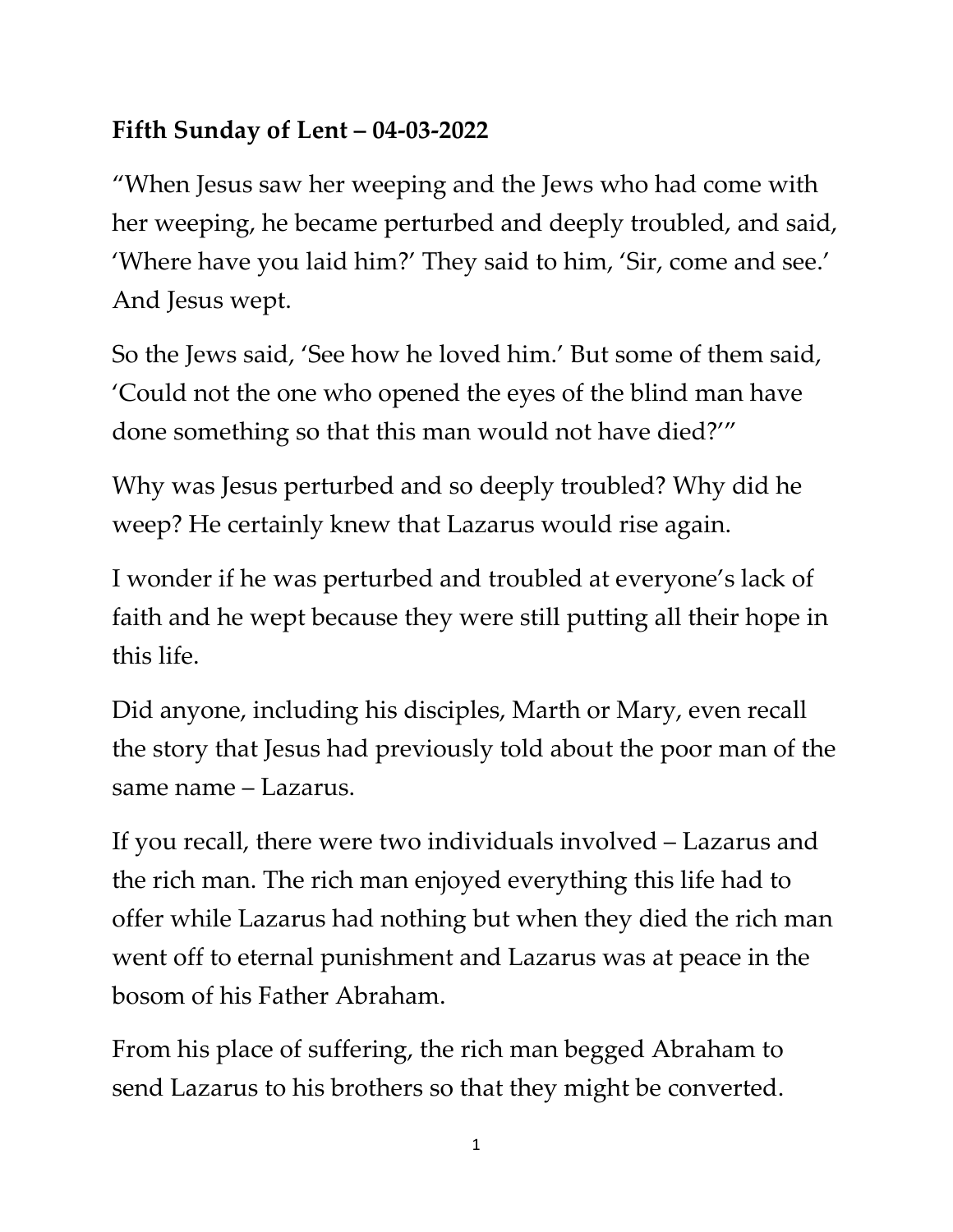## **Fifth Sunday of Lent – 04-03-2022**

"When Jesus saw her weeping and the Jews who had come with her weeping, he became perturbed and deeply troubled, and said, 'Where have you laid him?' They said to him, 'Sir, come and see.' And Jesus wept.

So the Jews said, 'See how he loved him.' But some of them said, 'Could not the one who opened the eyes of the blind man have done something so that this man would not have died?'"

Why was Jesus perturbed and so deeply troubled? Why did he weep? He certainly knew that Lazarus would rise again.

I wonder if he was perturbed and troubled at everyone's lack of faith and he wept because they were still putting all their hope in this life.

Did anyone, including his disciples, Marth or Mary, even recall the story that Jesus had previously told about the poor man of the same name – Lazarus.

If you recall, there were two individuals involved – Lazarus and the rich man. The rich man enjoyed everything this life had to offer while Lazarus had nothing but when they died the rich man went off to eternal punishment and Lazarus was at peace in the bosom of his Father Abraham.

From his place of suffering, the rich man begged Abraham to send Lazarus to his brothers so that they might be converted.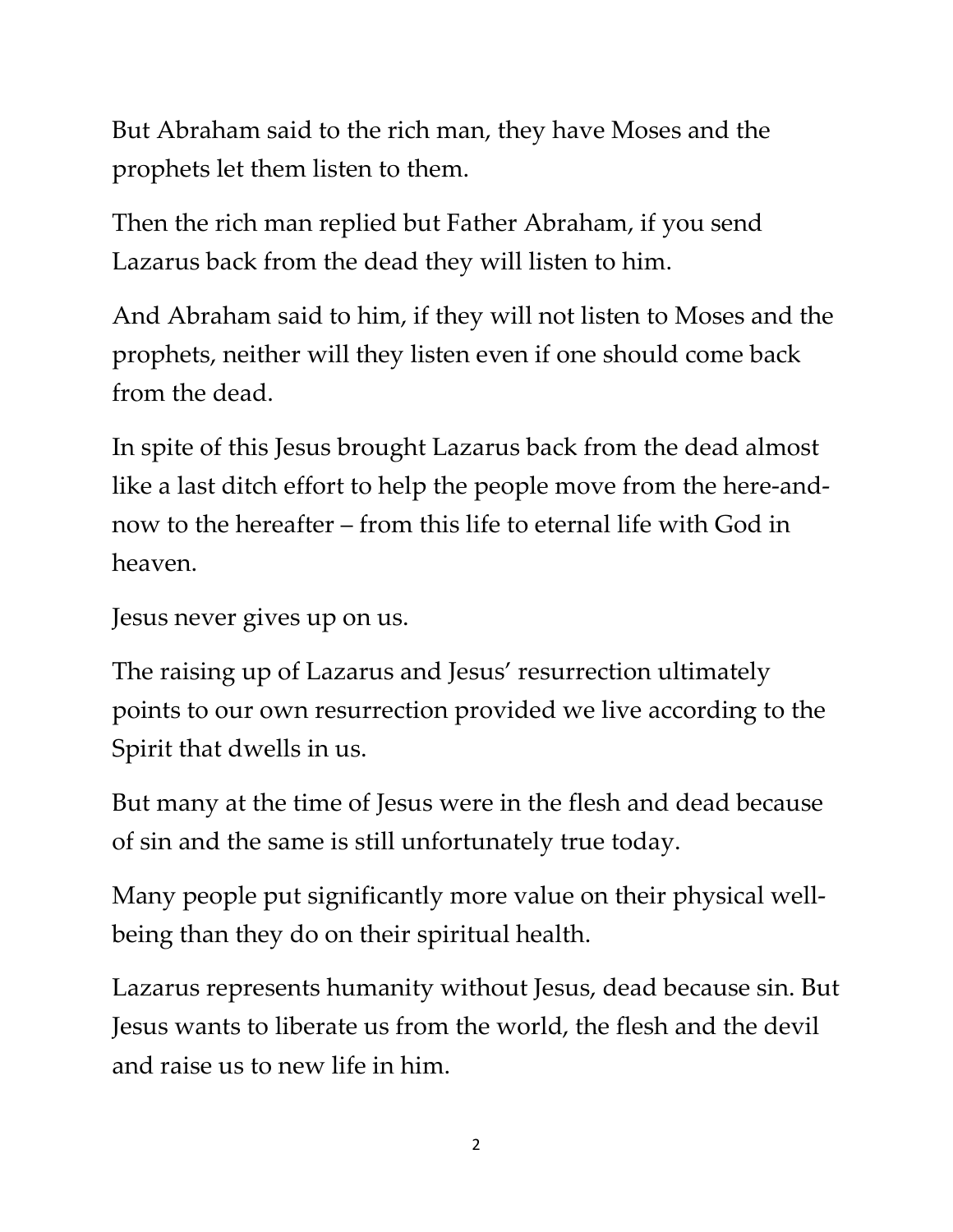But Abraham said to the rich man, they have Moses and the prophets let them listen to them.

Then the rich man replied but Father Abraham, if you send Lazarus back from the dead they will listen to him.

And Abraham said to him, if they will not listen to Moses and the prophets, neither will they listen even if one should come back from the dead.

In spite of this Jesus brought Lazarus back from the dead almost like a last ditch effort to help the people move from the here-andnow to the hereafter – from this life to eternal life with God in heaven.

Jesus never gives up on us.

The raising up of Lazarus and Jesus' resurrection ultimately points to our own resurrection provided we live according to the Spirit that dwells in us.

But many at the time of Jesus were in the flesh and dead because of sin and the same is still unfortunately true today.

Many people put significantly more value on their physical wellbeing than they do on their spiritual health.

Lazarus represents humanity without Jesus, dead because sin. But Jesus wants to liberate us from the world, the flesh and the devil and raise us to new life in him.

2